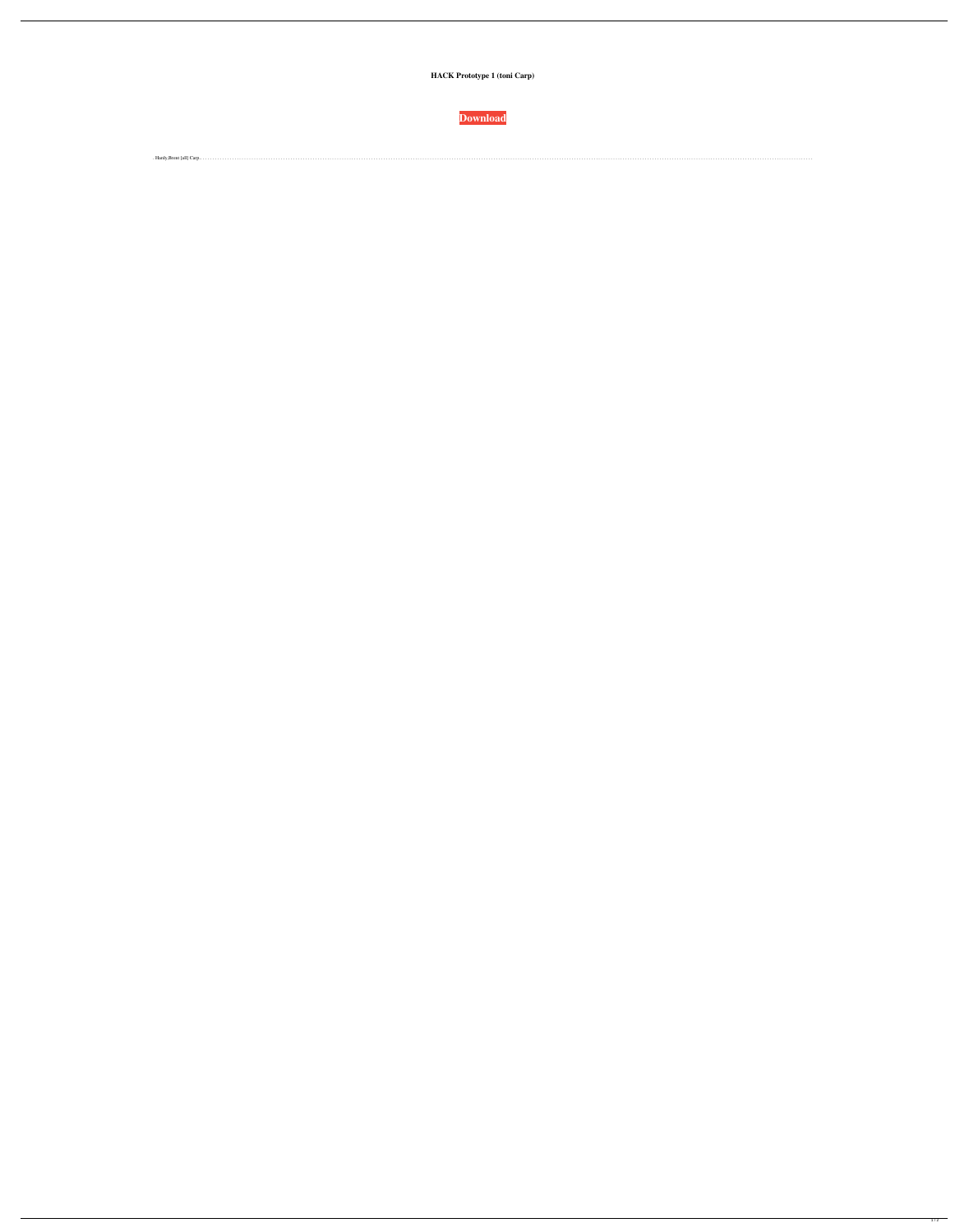**HACK Prototype 1 (toni Carp)** 

**Download** 

 $\blacksquare$